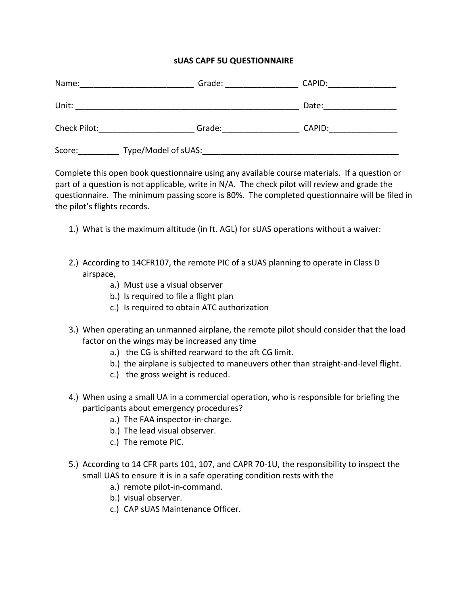## **sUAS CAPF 5U QUESTIONNAIRE**

| Name:        | Grade:              | CAPID: |  |
|--------------|---------------------|--------|--|
| Unit:        |                     | Date:  |  |
| Check Pilot: | Grade:              | CAPID: |  |
| Score:       | Type/Model of sUAS: |        |  |

Complete this open book questionnaire using any available course materials. If a question or part of a question is not applicable, write in N/A. The check pilot will review and grade the questionnaire. The minimum passing score is 80%. The completed questionnaire will be filed in the pilot's flights records.

- 1.) What is the maximum altitude (in ft. AGL) for sUAS operations without a waiver:
- 2.) According to 14CFR107, the remote PIC of a sUAS planning to operate in Class D airspace,
	- a.) Must use a visual observer
	- b.) Is required to file a flight plan
	- c.) Is required to obtain ATC authorization
- 3.) When operating an unmanned airplane, the remote pilot should consider that the load factor on the wings may be increased any time
	- a.) the CG is shifted rearward to the aft CG limit.
	- b.) the airplane is subjected to maneuvers other than straight‐and‐level flight.
	- c.) the gross weight is reduced.
- 4.) When using a small UA in a commercial operation, who is responsible for briefing the participants about emergency procedures?
	- a.) The FAA inspector-in-charge.
	- b.) The lead visual observer.
	- c.) The remote PIC.
- 5.) According to 14 CFR parts 101, 107, and CAPR 70‐1U, the responsibility to inspect the small UAS to ensure it is in a safe operating condition rests with the
	- a.) remote pilot‐in‐command.
	- b.) visual observer.
	- c.) CAP sUAS Maintenance Officer.